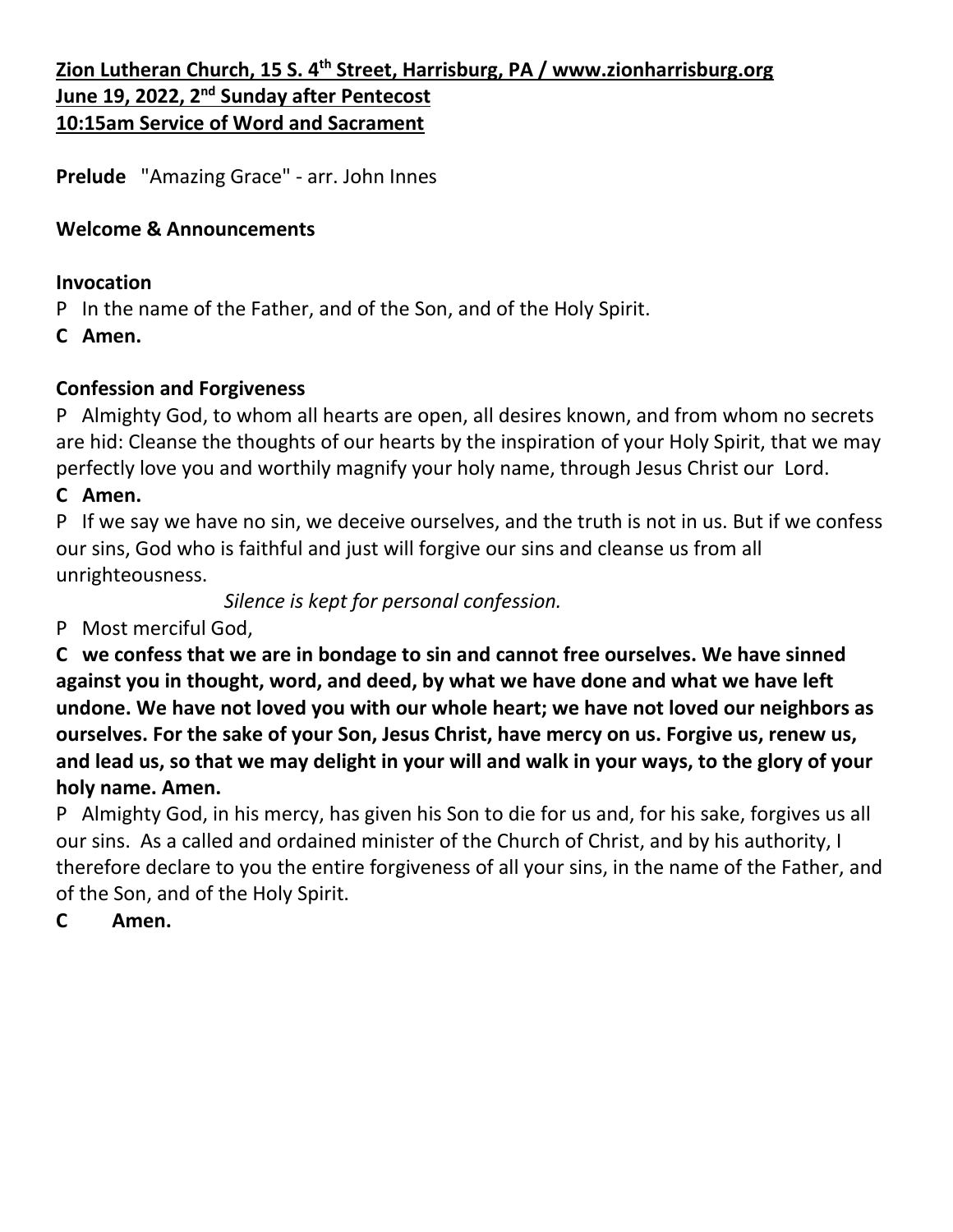# **Zion Lutheran Church, 15 S. 4th Street, Harrisburg, PA / www.zionharrisburg.org June 19, 2022, 2<sup>nd</sup> Sunday after Pentecost 10:15am Service of Word and Sacrament**

**Prelude** "Amazing Grace" - arr. John Innes

## **Welcome & Announcements**

### **Invocation**

P In the name of the Father, and of the Son, and of the Holy Spirit.

**C Amen.**

## **Confession and Forgiveness**

P Almighty God, to whom all hearts are open, all desires known, and from whom no secrets are hid: Cleanse the thoughts of our hearts by the inspiration of your Holy Spirit, that we may perfectly love you and worthily magnify your holy name, through Jesus Christ our Lord.

## **C Amen.**

P If we say we have no sin, we deceive ourselves, and the truth is not in us. But if we confess our sins, God who is faithful and just will forgive our sins and cleanse us from all unrighteousness.

*Silence is kept for personal confession.*

P Most merciful God,

**C we confess that we are in bondage to sin and cannot free ourselves. We have sinned against you in thought, word, and deed, by what we have done and what we have left undone. We have not loved you with our whole heart; we have not loved our neighbors as ourselves. For the sake of your Son, Jesus Christ, have mercy on us. Forgive us, renew us, and lead us, so that we may delight in your will and walk in your ways, to the glory of your holy name. Amen.**

P Almighty God, in his mercy, has given his Son to die for us and, for his sake, forgives us all our sins. As a called and ordained minister of the Church of Christ, and by his authority, I therefore declare to you the entire forgiveness of all your sins, in the name of the Father, and of the Son, and of the Holy Spirit.

**C Amen.**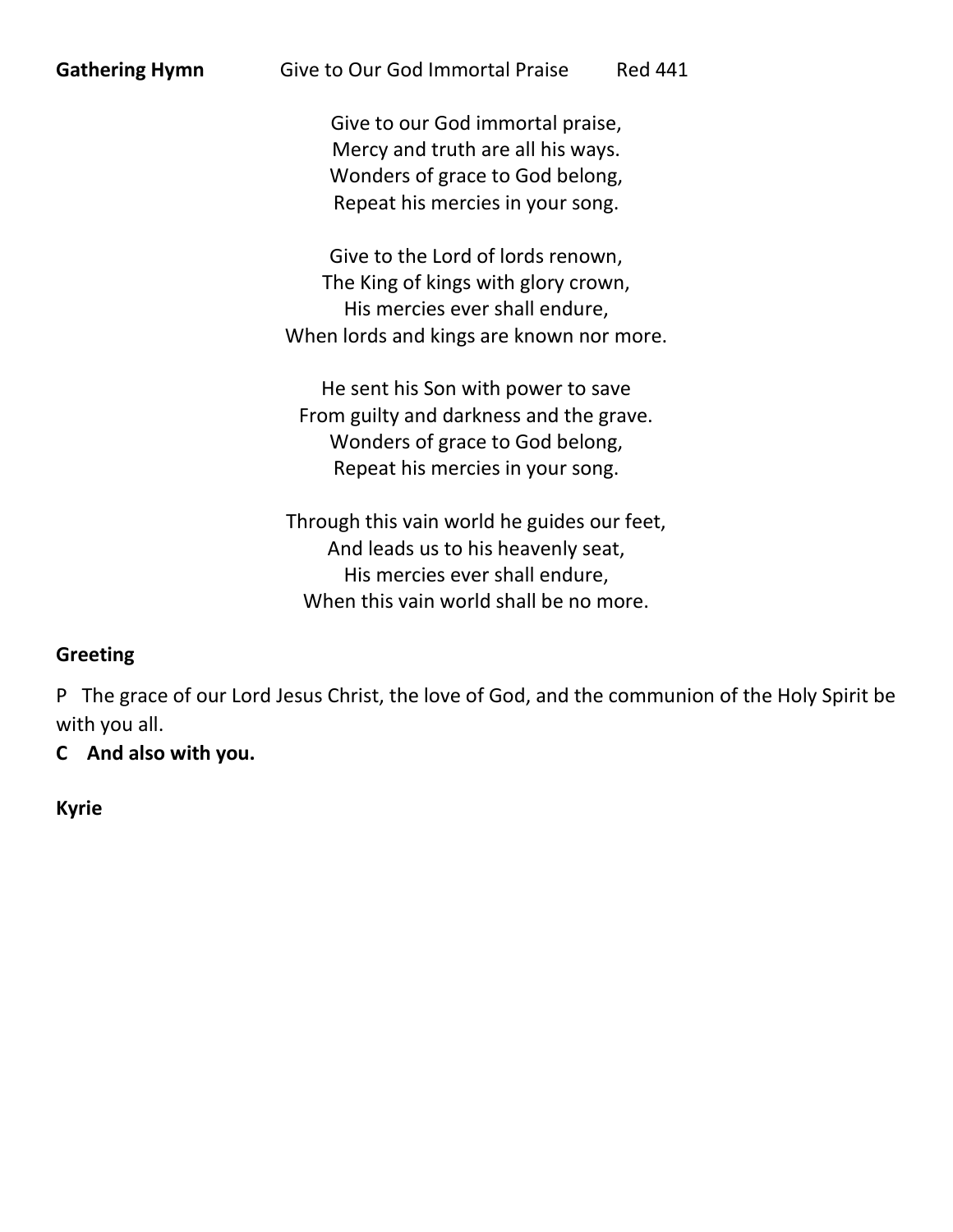| <b>Gathering Hymn</b> | Give to Our God Immortal Praise | <b>Red 441</b> |
|-----------------------|---------------------------------|----------------|
|                       |                                 |                |

Give to our God immortal praise, Mercy and truth are all his ways. Wonders of grace to God belong, Repeat his mercies in your song.

Give to the Lord of lords renown, The King of kings with glory crown, His mercies ever shall endure, When lords and kings are known nor more.

He sent his Son with power to save From guilty and darkness and the grave. Wonders of grace to God belong, Repeat his mercies in your song.

Through this vain world he guides our feet, And leads us to his heavenly seat, His mercies ever shall endure, When this vain world shall be no more.

## **Greeting**

P The grace of our Lord Jesus Christ, the love of God, and the communion of the Holy Spirit be with you all.

**C And also with you.**

**Kyrie**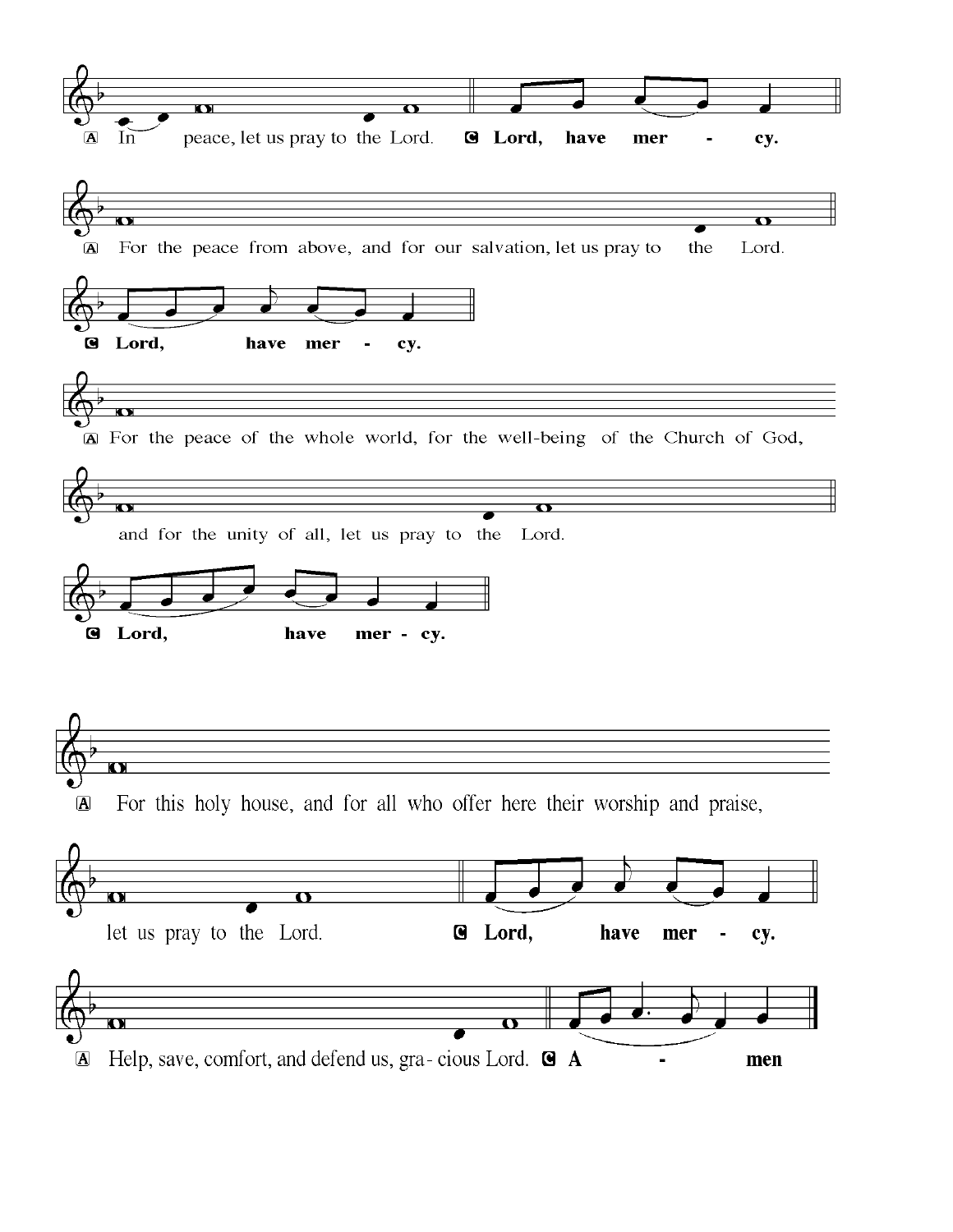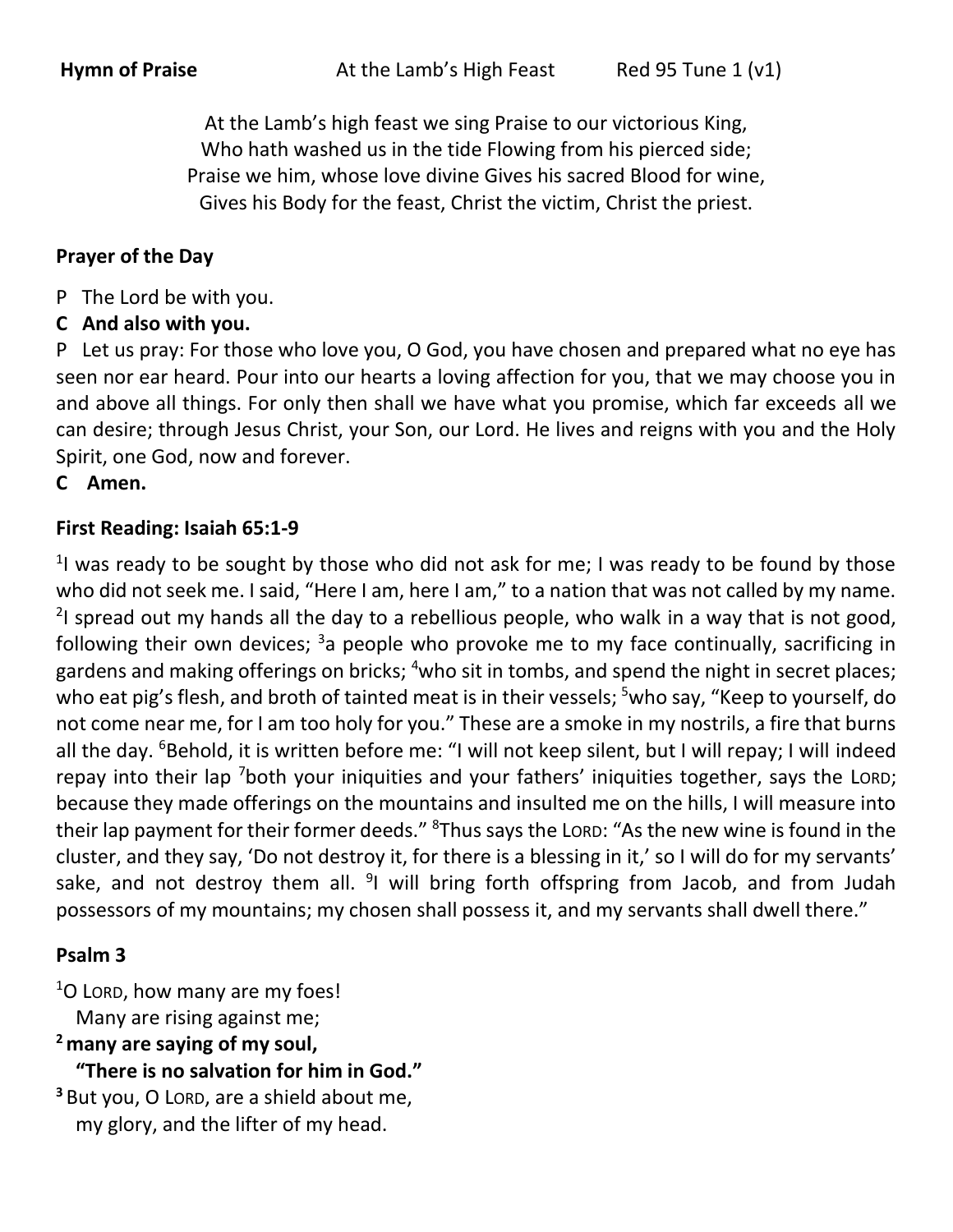At the Lamb's high feast we sing Praise to our victorious King, Who hath washed us in the tide Flowing from his pierced side; Praise we him, whose love divine Gives his sacred Blood for wine, Gives his Body for the feast, Christ the victim, Christ the priest.

## **Prayer of the Day**

- P The Lord be with you.
- **C And also with you.**

P Let us pray: For those who love you, O God, you have chosen and prepared what no eye has seen nor ear heard. Pour into our hearts a loving affection for you, that we may choose you in and above all things. For only then shall we have what you promise, which far exceeds all we can desire; through Jesus Christ, your Son, our Lord. He lives and reigns with you and the Holy Spirit, one God, now and forever.

#### **C Amen.**

#### **First Reading: Isaiah 65:1-9**

<sup>1</sup>I was ready to be sought by those who did not ask for me; I was ready to be found by those who did not seek me. I said, "Here I am, here I am," to a nation that was not called by my name.  $2$ I spread out my hands all the day to a rebellious people, who walk in a way that is not good, following their own devices;  $3a$  people who provoke me to my face continually, sacrificing in gardens and making offerings on bricks; <sup>4</sup>who sit in tombs, and spend the night in secret places; who eat pig's flesh, and broth of tainted meat is in their vessels; <sup>5</sup>who say, "Keep to yourself, do not come near me, for I am too holy for you." These are a smoke in my nostrils, a fire that burns all the day. <sup>6</sup>Behold, it is written before me: "I will not keep silent, but I will repay; I will indeed repay into their lap <sup>7</sup>both your iniquities and your fathers' iniquities together, says the LORD; because they made offerings on the mountains and insulted me on the hills, I will measure into their lap payment for their former deeds." <sup>8</sup>Thus says the LORD: "As the new wine is found in the cluster, and they say, 'Do not destroy it, for there is a blessing in it,' so I will do for my servants' sake, and not destroy them all. <sup>9</sup>I will bring forth offspring from Jacob, and from Judah possessors of my mountains; my chosen shall possess it, and my servants shall dwell there."

#### **Psalm 3**

 $1$ O Lorp, how many are my foes! Many are rising against me;

**<sup>2</sup> many are saying of my soul,**

 **"There is no salvation for him in God."**

**<sup>3</sup>** But you, O LORD, are a shield about me, my glory, and the lifter of my head.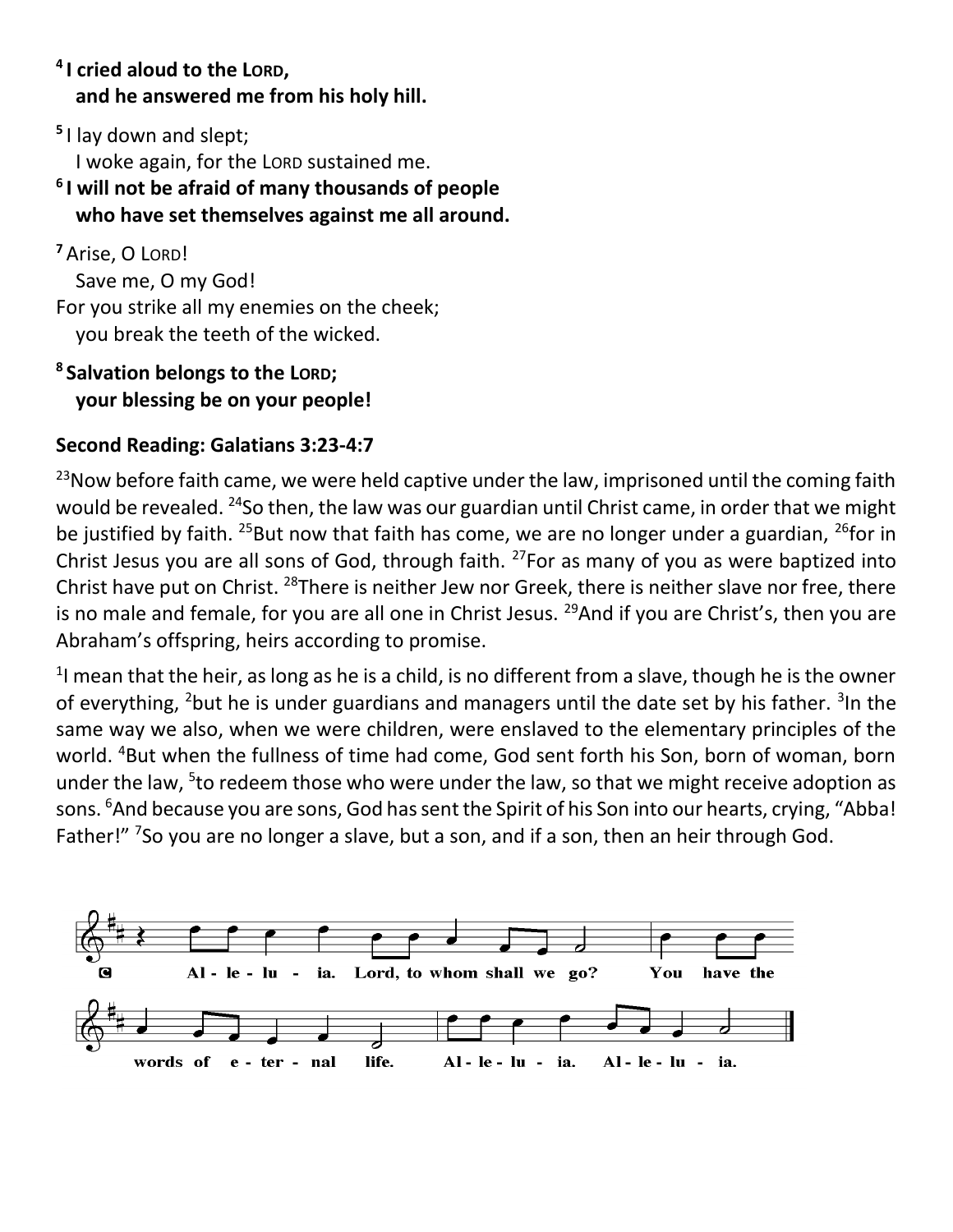## **4 I cried aloud to the LORD, and he answered me from his holy hill.**

**5** I lay down and slept; I woke again, for the LORD sustained me.

## **6 I will not be afraid of many thousands of people who have set themselves against me all around.**

**<sup>7</sup>** Arise, O LORD! Save me, O my God! For you strike all my enemies on the cheek; you break the teeth of the wicked.

# **8 Salvation belongs to the LORD; your blessing be on your people!**

# **Second Reading: Galatians 3:23-4:7**

 $23$ Now before faith came, we were held captive under the law, imprisoned until the coming faith would be revealed. <sup>24</sup>So then, the law was our guardian until Christ came, in order that we might be justified by faith. <sup>25</sup>But now that faith has come, we are no longer under a guardian, <sup>26</sup>for in Christ Jesus you are all sons of God, through faith. <sup>27</sup>For as many of you as were baptized into Christ have put on Christ. <sup>28</sup>There is neither Jew nor Greek, there is neither slave nor free, there is no male and female, for you are all one in Christ Jesus. <sup>29</sup>And if you are Christ's, then you are Abraham's offspring, heirs according to promise.

 $<sup>1</sup>$  mean that the heir, as long as he is a child, is no different from a slave, though he is the owner</sup> of everything, <sup>2</sup>but he is under guardians and managers until the date set by his father. <sup>3</sup>In the same way we also, when we were children, were enslaved to the elementary principles of the world. <sup>4</sup>But when the fullness of time had come, God sent forth his Son, born of woman, born under the law, <sup>5</sup>to redeem those who were under the law, so that we might receive adoption as sons. <sup>6</sup>And because you are sons, God has sent the Spirit of his Son into our hearts, crying, "Abba! Father!" <sup>7</sup>So you are no longer a slave, but a son, and if a son, then an heir through God.

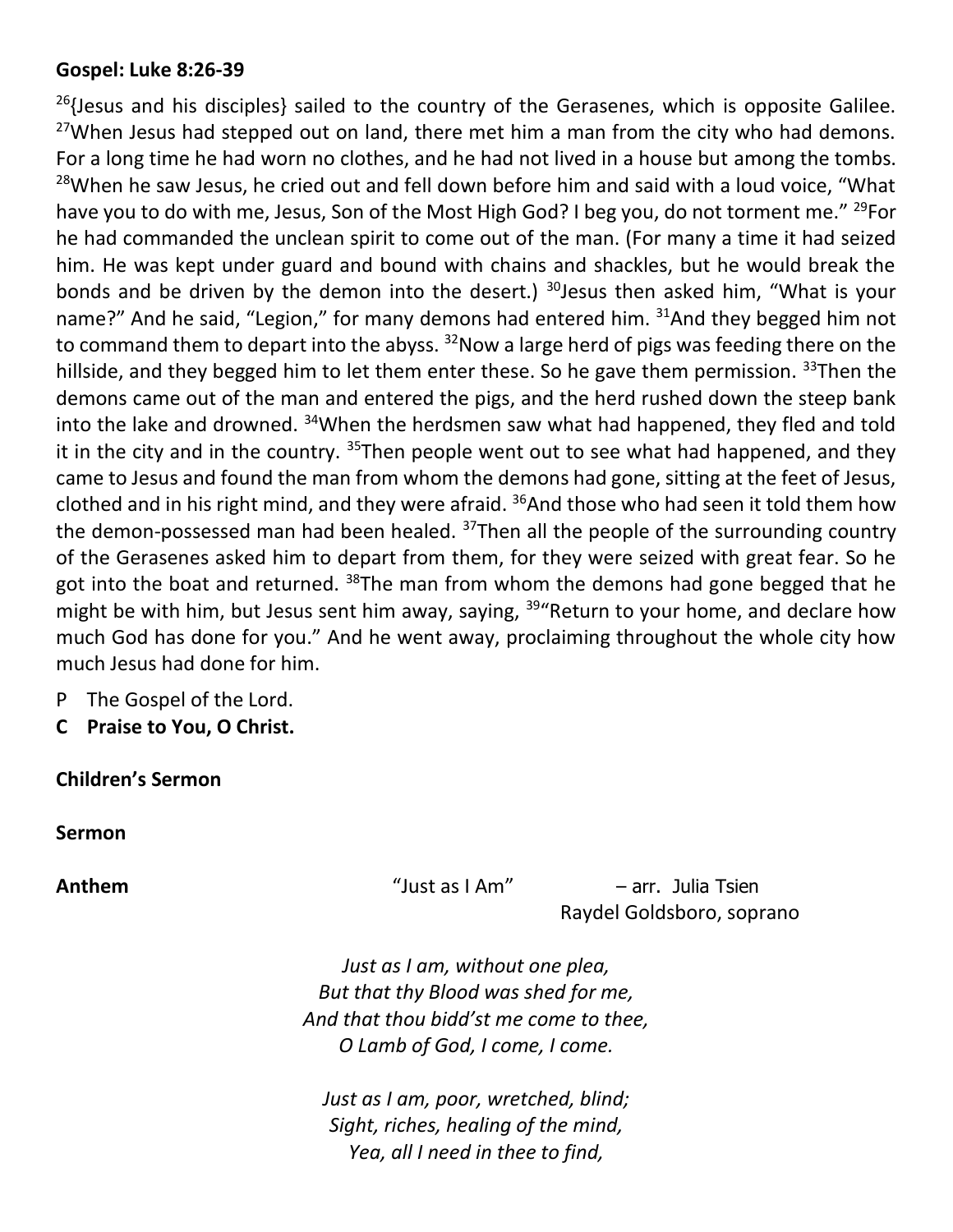#### **Gospel: Luke 8:26-39**

 $^{26}$ {Jesus and his disciples} sailed to the country of the Gerasenes, which is opposite Galilee.  $27$ When Jesus had stepped out on land, there met him a man from the city who had demons. For a long time he had worn no clothes, and he had not lived in a house but among the tombs. <sup>28</sup>When he saw Jesus, he cried out and fell down before him and said with a loud voice, "What have you to do with me, Jesus, Son of the Most High God? I beg you, do not torment me." <sup>29</sup>For he had commanded the unclean spirit to come out of the man. (For many a time it had seized him. He was kept under guard and bound with chains and shackles, but he would break the bonds and be driven by the demon into the desert.)  $30$  Jesus then asked him, "What is your name?" And he said, "Legion," for many demons had entered him.  $31$ And they begged him not to command them to depart into the abyss. <sup>32</sup>Now a large herd of pigs was feeding there on the hillside, and they begged him to let them enter these. So he gave them permission.  $33$ Then the demons came out of the man and entered the pigs, and the herd rushed down the steep bank into the lake and drowned. <sup>34</sup>When the herdsmen saw what had happened, they fled and told it in the city and in the country.  $35$ Then people went out to see what had happened, and they came to Jesus and found the man from whom the demons had gone, sitting at the feet of Jesus, clothed and in his right mind, and they were afraid.  $36$ And those who had seen it told them how the demon-possessed man had been healed. <sup>37</sup>Then all the people of the surrounding country of the Gerasenes asked him to depart from them, for they were seized with great fear. So he got into the boat and returned.  $38$ The man from whom the demons had gone begged that he might be with him, but Jesus sent him away, saying, <sup>39</sup> Return to your home, and declare how much God has done for you." And he went away, proclaiming throughout the whole city how much Jesus had done for him.

- P The Gospel of the Lord.
- **C Praise to You, O Christ.**

**Children's Sermon**

**Sermon**

**Anthem** "Just as I Am" – arr. Julia Tsien Raydel Goldsboro, soprano

> *Just as I am, without one plea, But that thy Blood was shed for me, And that thou bidd'st me come to thee, O Lamb of God, I come, I come.*

*Just as I am, poor, wretched, blind; Sight, riches, healing of the mind, Yea, all I need in thee to find,*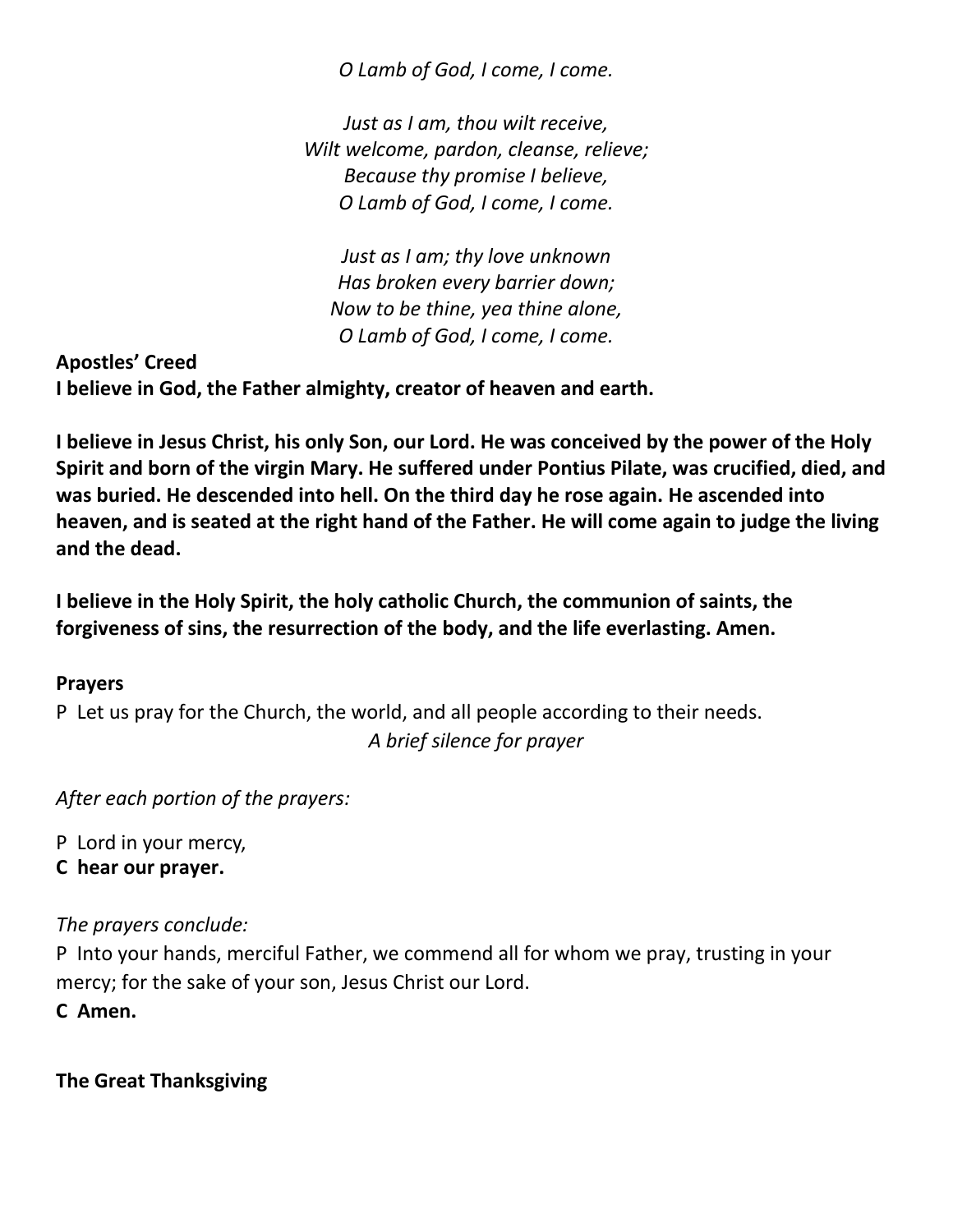*O Lamb of God, I come, I come.*

*Just as I am, thou wilt receive, Wilt welcome, pardon, cleanse, relieve; Because thy promise I believe, O Lamb of God, I come, I come.*

*Just as I am; thy love unknown Has broken every barrier down; Now to be thine, yea thine alone, O Lamb of God, I come, I come.*

**Apostles' Creed I believe in God, the Father almighty, creator of heaven and earth.**

**I believe in Jesus Christ, his only Son, our Lord. He was conceived by the power of the Holy Spirit and born of the virgin Mary. He suffered under Pontius Pilate, was crucified, died, and was buried. He descended into hell. On the third day he rose again. He ascended into heaven, and is seated at the right hand of the Father. He will come again to judge the living and the dead.**

**I believe in the Holy Spirit, the holy catholic Church, the communion of saints, the forgiveness of sins, the resurrection of the body, and the life everlasting. Amen.**

## **Prayers**

P Let us pray for the Church, the world, and all people according to their needs. *A brief silence for prayer*

*After each portion of the prayers:*

P Lord in your mercy,

**C hear our prayer.**

#### *The prayers conclude:*

P Into your hands, merciful Father, we commend all for whom we pray, trusting in your mercy; for the sake of your son, Jesus Christ our Lord.

**C Amen.**

**The Great Thanksgiving**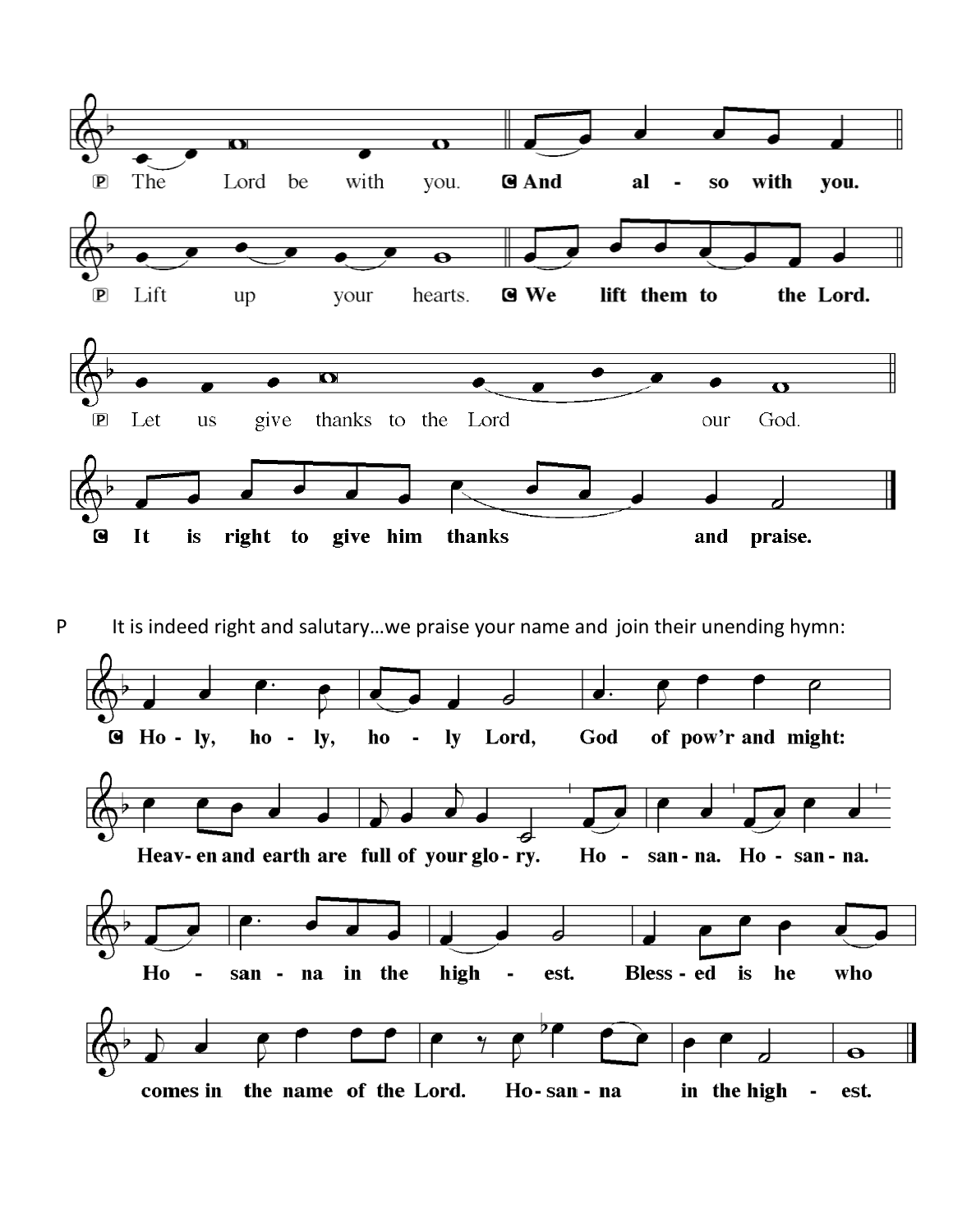

P It is indeed right and salutary...we praise your name and join their unending hymn:

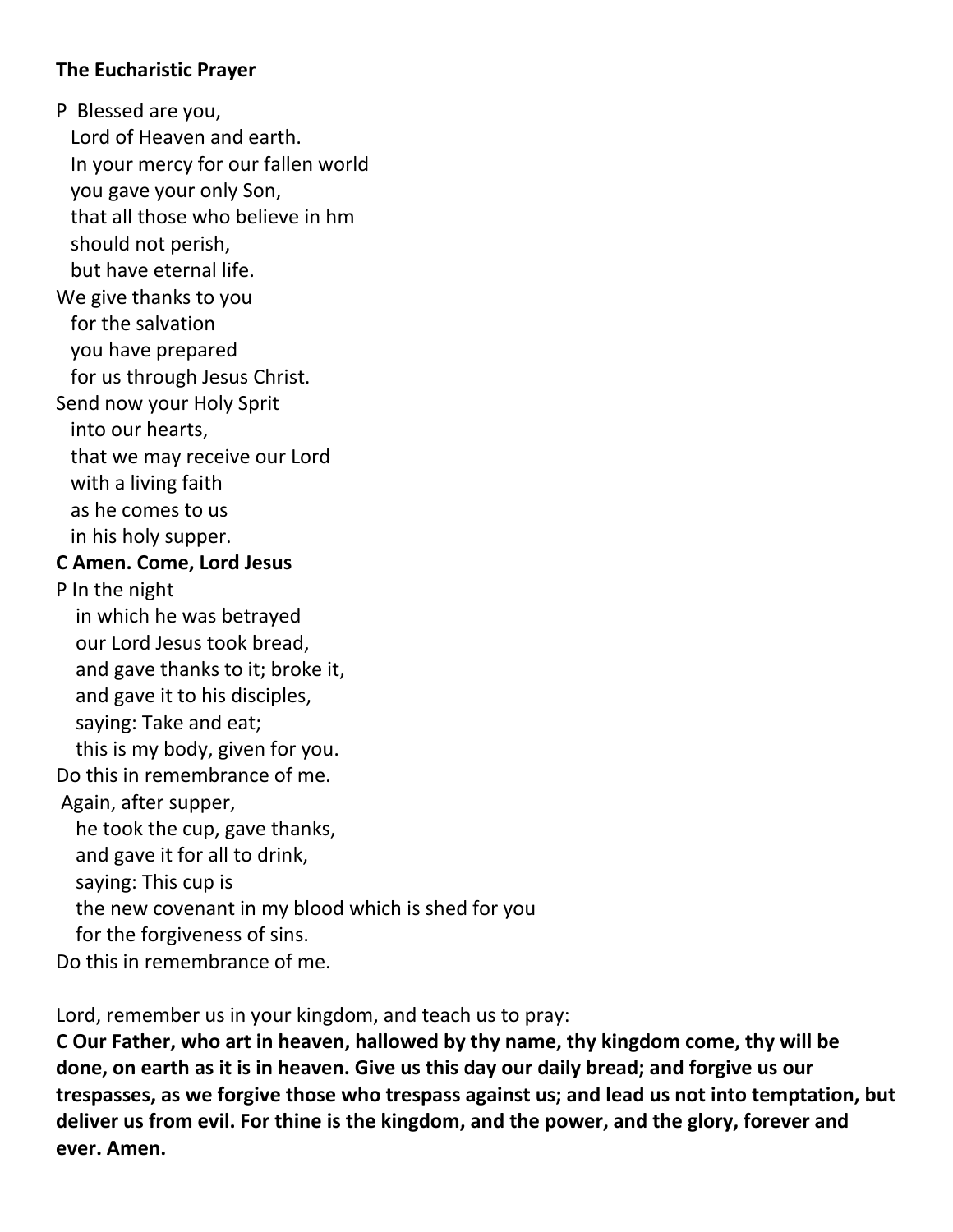### **The Eucharistic Prayer**

P Blessed are you,

 Lord of Heaven and earth. In your mercy for our fallen world you gave your only Son, that all those who believe in hm should not perish, but have eternal life. We give thanks to you for the salvation you have prepared for us through Jesus Christ. Send now your Holy Sprit into our hearts, that we may receive our Lord with a living faith as he comes to us in his holy supper. **C Amen. Come, Lord Jesus** P In the night in which he was betrayed our Lord Jesus took bread, and gave thanks to it; broke it, and gave it to his disciples, saying: Take and eat; this is my body, given for you. Do this in remembrance of me. Again, after supper, he took the cup, gave thanks, and gave it for all to drink, saying: This cup is the new covenant in my blood which is shed for you for the forgiveness of sins.

Do this in remembrance of me.

Lord, remember us in your kingdom, and teach us to pray:

**C Our Father, who art in heaven, hallowed by thy name, thy kingdom come, thy will be done, on earth as it is in heaven. Give us this day our daily bread; and forgive us our trespasses, as we forgive those who trespass against us; and lead us not into temptation, but deliver us from evil. For thine is the kingdom, and the power, and the glory, forever and ever. Amen.**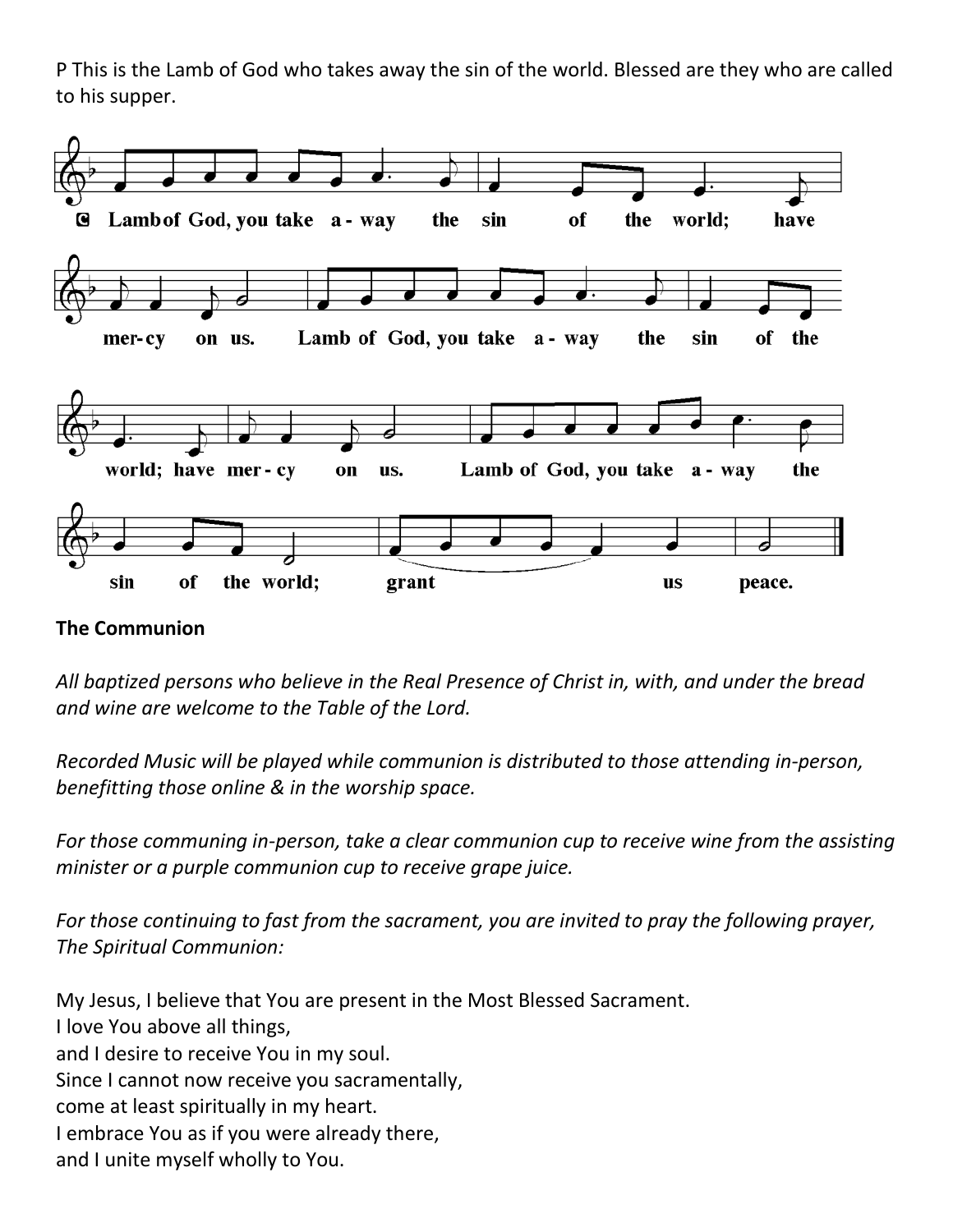P This is the Lamb of God who takes away the sin of the world. Blessed are they who are called to his supper.



#### **The Communion**

*All baptized persons who believe in the Real Presence of Christ in, with, and under the bread and wine are welcome to the Table of the Lord.*

*Recorded Music will be played while communion is distributed to those attending in-person, benefitting those online & in the worship space.*

*For those communing in-person, take a clear communion cup to receive wine from the assisting minister or a purple communion cup to receive grape juice.*

*For those continuing to fast from the sacrament, you are invited to pray the following prayer, The Spiritual Communion:*

My Jesus, I believe that You are present in the Most Blessed Sacrament. I love You above all things, and I desire to receive You in my soul. Since I cannot now receive you sacramentally, come at least spiritually in my heart. I embrace You as if you were already there, and I unite myself wholly to You.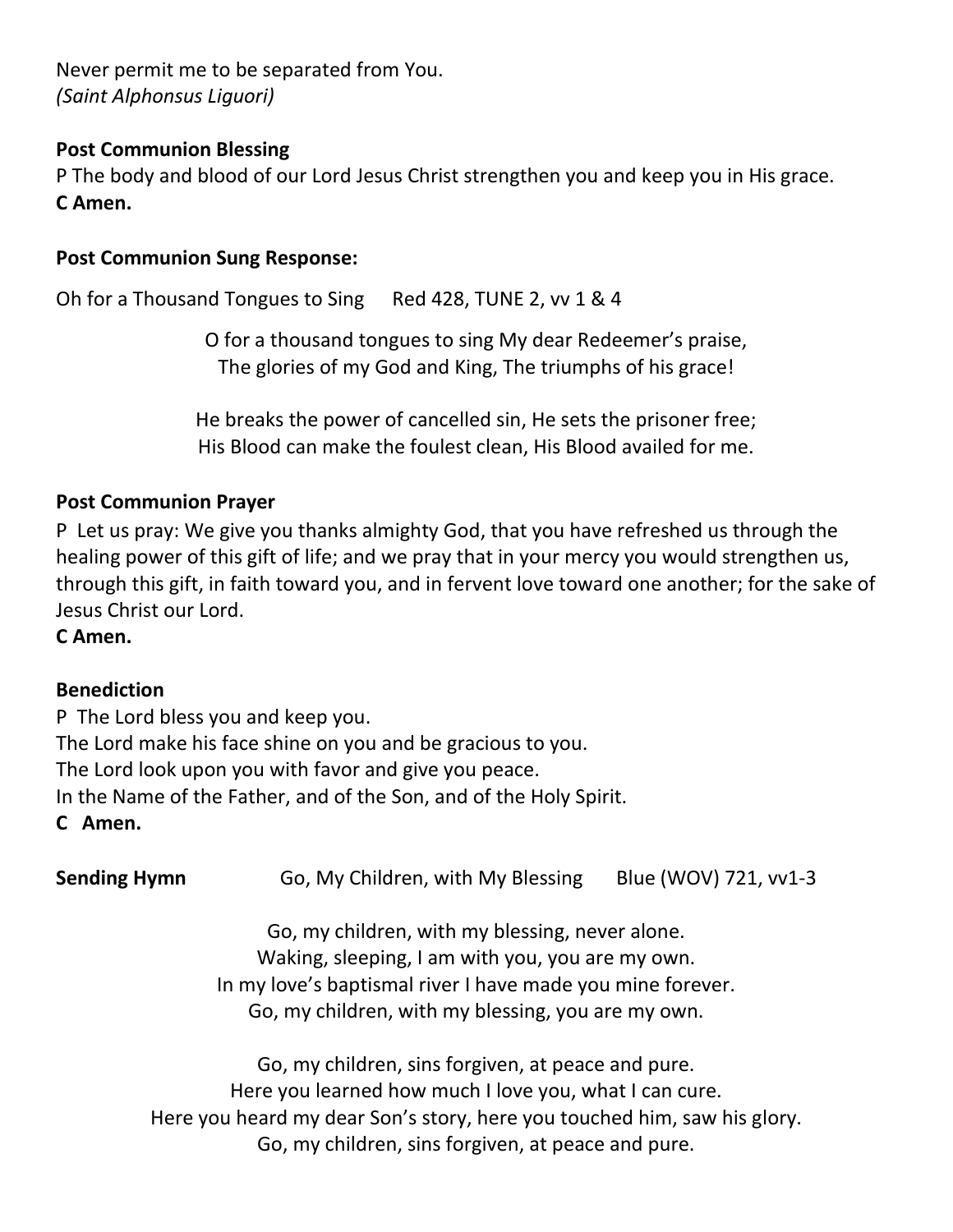Never permit me to be separated from You. *(Saint Alphonsus Liguori)*

#### **Post Communion Blessing**

P The body and blood of our Lord Jesus Christ strengthen you and keep you in His grace. **C Amen.** 

#### **Post Communion Sung Response:**

Oh for a Thousand Tongues to Sing Red 428, TUNE 2, vv 1 & 4

O for a thousand tongues to sing My dear Redeemer's praise, The glories of my God and King, The triumphs of his grace!

He breaks the power of cancelled sin, He sets the prisoner free; His Blood can make the foulest clean, His Blood availed for me.

#### **Post Communion Prayer**

P Let us pray: We give you thanks almighty God, that you have refreshed us through the healing power of this gift of life; and we pray that in your mercy you would strengthen us, through this gift, in faith toward you, and in fervent love toward one another; for the sake of Jesus Christ our Lord.

#### **C Amen.**

#### **Benediction**

P The Lord bless you and keep you. The Lord make his face shine on you and be gracious to you. The Lord look upon you with favor and give you peace. In the Name of the Father, and of the Son, and of the Holy Spirit. **C Amen.**

| <b>Sending Hymn</b> | Blue (WOV) 721, vv1-3<br>Go, My Children, with My Blessing                                                                                                                                                              |  |  |
|---------------------|-------------------------------------------------------------------------------------------------------------------------------------------------------------------------------------------------------------------------|--|--|
|                     | Go, my children, with my blessing, never alone.<br>Waking, sleeping, I am with you, you are my own.<br>In my love's baptismal river I have made you mine forever.<br>Go, my children, with my blessing, you are my own. |  |  |
|                     | Go, my children, sins forgiven, at peace and pure.<br>Here you learned how much I love you, what I can cure.<br>Here you heard my dear Son's story, here you touched him, saw his glory.                                |  |  |

Go, my children, sins forgiven, at peace and pure.